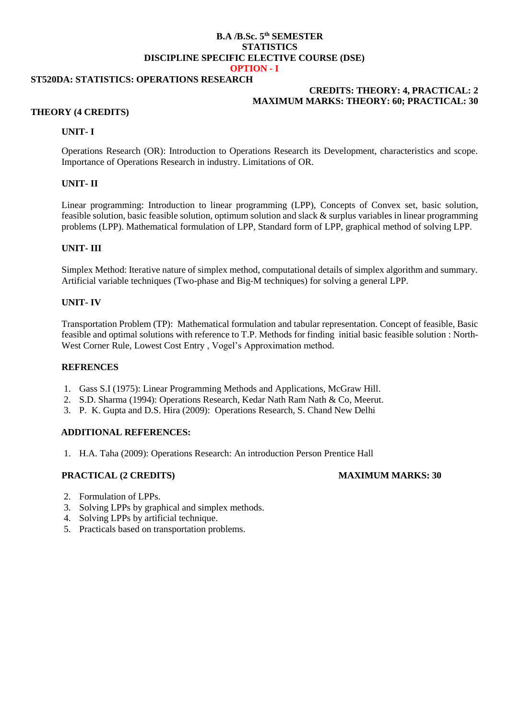## **B.A /B.Sc. 5 th SEMESTER STATISTICS DISCIPLINE SPECIFIC ELECTIVE COURSE (DSE) OPTION - I**

# **ST520DA: STATISTICS: OPERATIONS RESEARCH**

# **CREDITS: THEORY: 4, PRACTICAL: 2 MAXIMUM MARKS: THEORY: 60; PRACTICAL: 30**

# **THEORY (4 CREDITS)**

## **UNIT- I**

Operations Research (OR): Introduction to Operations Research its Development, characteristics and scope. Importance of Operations Research in industry. Limitations of OR.

# **UNIT- II**

Linear programming: Introduction to linear programming (LPP), Concepts of Convex set, basic solution, feasible solution, basic feasible solution, optimum solution and slack & surplus variables in linear programming problems (LPP). Mathematical formulation of LPP, Standard form of LPP, graphical method of solving LPP.

# **UNIT- III**

Simplex Method: Iterative nature of simplex method, computational details of simplex algorithm and summary. Artificial variable techniques (Two-phase and Big-M techniques) for solving a general LPP.

## **UNIT- IV**

Transportation Problem (TP): Mathematical formulation and tabular representation. Concept of feasible, Basic feasible and optimal solutions with reference to T.P. Methods for finding initial basic feasible solution : North-West Corner Rule, Lowest Cost Entry , Vogel's Approximation method.

## **REFRENCES**

- 1. Gass S.I (1975): Linear Programming Methods and Applications, McGraw Hill.
- 2. S.D. Sharma (1994): Operations Research, Kedar Nath Ram Nath & Co, Meerut.
- 3. P. K. Gupta and D.S. Hira (2009): Operations Research, S. Chand New Delhi

## **ADDITIONAL REFERENCES:**

1. H.A. Taha (2009): Operations Research: An introduction Person Prentice Hall

# **PRACTICAL (2 CREDITS) MAXIMUM MARKS: 30**

- 2. Formulation of LPPs.
- 3. Solving LPPs by graphical and simplex methods.
- 4. Solving LPPs by artificial technique.
- 5. Practicals based on transportation problems.